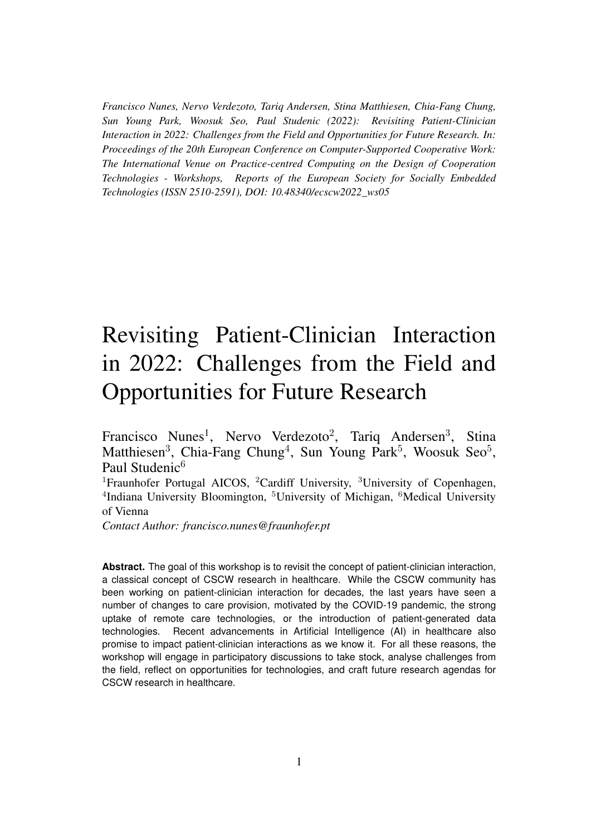*Francisco Nunes, Nervo Verdezoto, Tariq Andersen, Stina Matthiesen, Chia-Fang Chung, Sun Young Park, Woosuk Seo, Paul Studenic (2022): Revisiting Patient-Clinician Interaction in 2022: Challenges from the Field and Opportunities for Future Research. In: Proceedings of the 20th European Conference on Computer-Supported Cooperative Work: The International Venue on Practice-centred Computing on the Design of Cooperation Technologies - Workshops, Reports of the European Society for Socially Embedded Technologies (ISSN 2510-2591), DOI: 10.48340/ecscw2022\_ws05*

# Revisiting Patient-Clinician Interaction in 2022: Challenges from the Field and Opportunities for Future Research

Francisco Nunes<sup>1</sup>, Nervo Verdezoto<sup>2</sup>, Tariq Andersen<sup>3</sup>, Stina Matthiesen<sup>3</sup>, Chia-Fang Chung<sup>4</sup>, Sun Young Park<sup>5</sup>, Woosuk Seo<sup>5</sup>, Paul Studenic<sup>6</sup>

<sup>1</sup>Fraunhofer Portugal AICOS, <sup>2</sup>Cardiff University, <sup>3</sup>University of Copenhagen, <sup>4</sup>Indiana University Bloomington, <sup>5</sup>University of Michigan, <sup>6</sup>Medical University of Vienna

*Contact Author: francisco.nunes@fraunhofer.pt*

**Abstract.** The goal of this workshop is to revisit the concept of patient-clinician interaction, a classical concept of CSCW research in healthcare. While the CSCW community has been working on patient-clinician interaction for decades, the last years have seen a number of changes to care provision, motivated by the COVID-19 pandemic, the strong uptake of remote care technologies, or the introduction of patient-generated data technologies. Recent advancements in Artificial Intelligence (AI) in healthcare also promise to impact patient-clinician interactions as we know it. For all these reasons, the workshop will engage in participatory discussions to take stock, analyse challenges from the field, reflect on opportunities for technologies, and craft future research agendas for CSCW research in healthcare.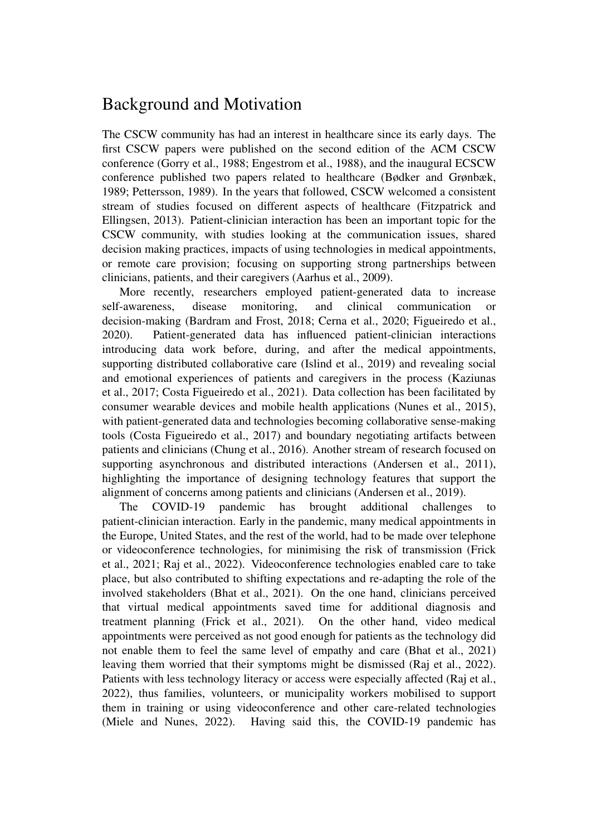# Background and Motivation

The CSCW community has had an interest in healthcare since its early days. The first CSCW papers were published on the second edition of the ACM CSCW conference (Gorry et al., 1988; Engestrom et al., 1988), and the inaugural ECSCW conference published two papers related to healthcare (Bødker and Grønbæk, 1989; Pettersson, 1989). In the years that followed, CSCW welcomed a consistent stream of studies focused on different aspects of healthcare (Fitzpatrick and Ellingsen, 2013). Patient-clinician interaction has been an important topic for the CSCW community, with studies looking at the communication issues, shared decision making practices, impacts of using technologies in medical appointments, or remote care provision; focusing on supporting strong partnerships between clinicians, patients, and their caregivers (Aarhus et al., 2009).

More recently, researchers employed patient-generated data to increase self-awareness, disease monitoring, and clinical communication or decision-making (Bardram and Frost, 2018; Cerna et al., 2020; Figueiredo et al., 2020). Patient-generated data has influenced patient-clinician interactions introducing data work before, during, and after the medical appointments, supporting distributed collaborative care (Islind et al., 2019) and revealing social and emotional experiences of patients and caregivers in the process (Kaziunas et al., 2017; Costa Figueiredo et al., 2021). Data collection has been facilitated by consumer wearable devices and mobile health applications (Nunes et al., 2015), with patient-generated data and technologies becoming collaborative sense-making tools (Costa Figueiredo et al., 2017) and boundary negotiating artifacts between patients and clinicians (Chung et al., 2016). Another stream of research focused on supporting asynchronous and distributed interactions (Andersen et al., 2011), highlighting the importance of designing technology features that support the alignment of concerns among patients and clinicians (Andersen et al., 2019).

The COVID-19 pandemic has brought additional challenges to patient-clinician interaction. Early in the pandemic, many medical appointments in the Europe, United States, and the rest of the world, had to be made over telephone or videoconference technologies, for minimising the risk of transmission (Frick et al., 2021; Raj et al., 2022). Videoconference technologies enabled care to take place, but also contributed to shifting expectations and re-adapting the role of the involved stakeholders (Bhat et al., 2021). On the one hand, clinicians perceived that virtual medical appointments saved time for additional diagnosis and treatment planning (Frick et al., 2021). On the other hand, video medical appointments were perceived as not good enough for patients as the technology did not enable them to feel the same level of empathy and care (Bhat et al., 2021) leaving them worried that their symptoms might be dismissed (Raj et al., 2022). Patients with less technology literacy or access were especially affected (Raj et al., 2022), thus families, volunteers, or municipality workers mobilised to support them in training or using videoconference and other care-related technologies (Miele and Nunes, 2022). Having said this, the COVID-19 pandemic has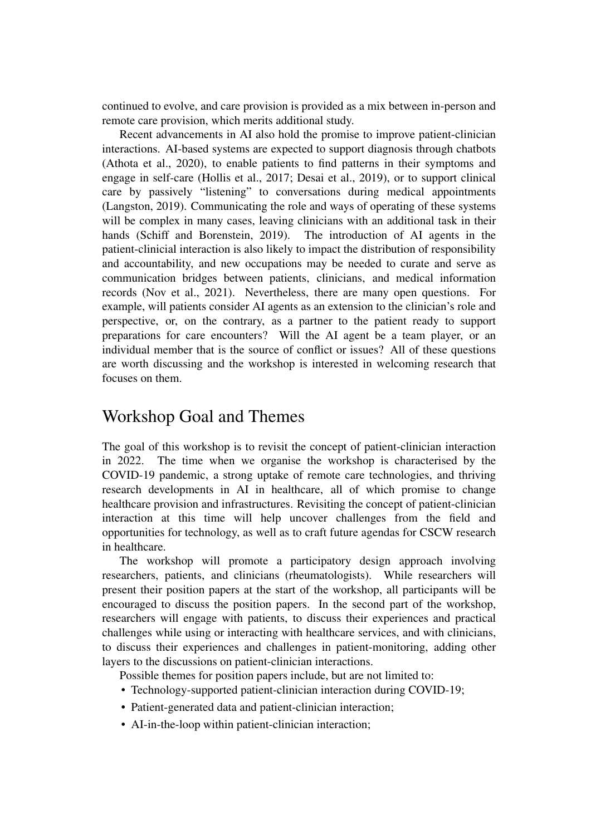continued to evolve, and care provision is provided as a mix between in-person and remote care provision, which merits additional study.

Recent advancements in AI also hold the promise to improve patient-clinician interactions. AI-based systems are expected to support diagnosis through chatbots (Athota et al., 2020), to enable patients to find patterns in their symptoms and engage in self-care (Hollis et al., 2017; Desai et al., 2019), or to support clinical care by passively "listening" to conversations during medical appointments (Langston, 2019). Communicating the role and ways of operating of these systems will be complex in many cases, leaving clinicians with an additional task in their hands (Schiff and Borenstein, 2019). The introduction of AI agents in the patient-clinicial interaction is also likely to impact the distribution of responsibility and accountability, and new occupations may be needed to curate and serve as communication bridges between patients, clinicians, and medical information records (Nov et al., 2021). Nevertheless, there are many open questions. For example, will patients consider AI agents as an extension to the clinician's role and perspective, or, on the contrary, as a partner to the patient ready to support preparations for care encounters? Will the AI agent be a team player, or an individual member that is the source of conflict or issues? All of these questions are worth discussing and the workshop is interested in welcoming research that focuses on them.

### Workshop Goal and Themes

The goal of this workshop is to revisit the concept of patient-clinician interaction in 2022. The time when we organise the workshop is characterised by the COVID-19 pandemic, a strong uptake of remote care technologies, and thriving research developments in AI in healthcare, all of which promise to change healthcare provision and infrastructures. Revisiting the concept of patient-clinician interaction at this time will help uncover challenges from the field and opportunities for technology, as well as to craft future agendas for CSCW research in healthcare.

The workshop will promote a participatory design approach involving researchers, patients, and clinicians (rheumatologists). While researchers will present their position papers at the start of the workshop, all participants will be encouraged to discuss the position papers. In the second part of the workshop, researchers will engage with patients, to discuss their experiences and practical challenges while using or interacting with healthcare services, and with clinicians, to discuss their experiences and challenges in patient-monitoring, adding other layers to the discussions on patient-clinician interactions.

- Possible themes for position papers include, but are not limited to:
- Technology-supported patient-clinician interaction during COVID-19;
- Patient-generated data and patient-clinician interaction;
- AI-in-the-loop within patient-clinician interaction;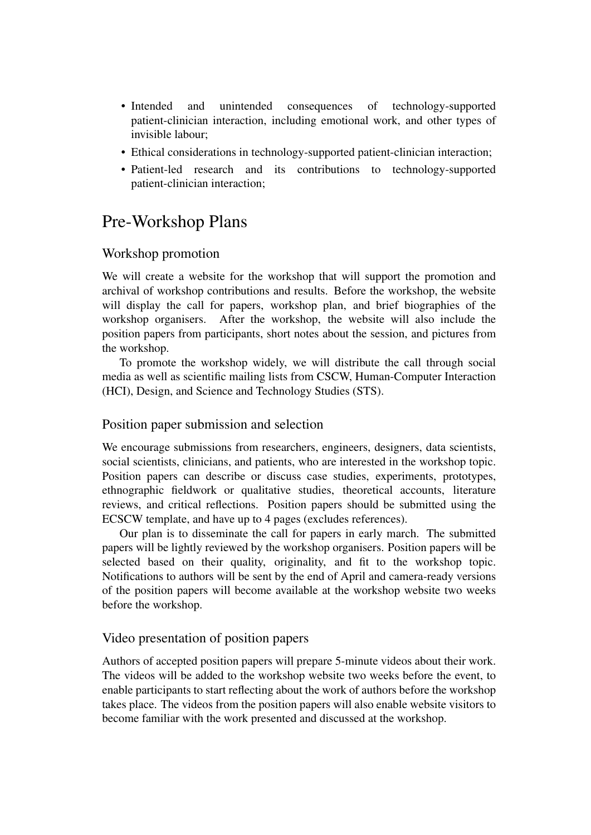- Intended and unintended consequences of technology-supported patient-clinician interaction, including emotional work, and other types of invisible labour;
- Ethical considerations in technology-supported patient-clinician interaction;
- Patient-led research and its contributions to technology-supported patient-clinician interaction;

# Pre-Workshop Plans

#### Workshop promotion

We will create a website for the workshop that will support the promotion and archival of workshop contributions and results. Before the workshop, the website will display the call for papers, workshop plan, and brief biographies of the workshop organisers. After the workshop, the website will also include the position papers from participants, short notes about the session, and pictures from the workshop.

To promote the workshop widely, we will distribute the call through social media as well as scientific mailing lists from CSCW, Human-Computer Interaction (HCI), Design, and Science and Technology Studies (STS).

#### Position paper submission and selection

We encourage submissions from researchers, engineers, designers, data scientists, social scientists, clinicians, and patients, who are interested in the workshop topic. Position papers can describe or discuss case studies, experiments, prototypes, ethnographic fieldwork or qualitative studies, theoretical accounts, literature reviews, and critical reflections. Position papers should be submitted using the ECSCW template, and have up to 4 pages (excludes references).

Our plan is to disseminate the call for papers in early march. The submitted papers will be lightly reviewed by the workshop organisers. Position papers will be selected based on their quality, originality, and fit to the workshop topic. Notifications to authors will be sent by the end of April and camera-ready versions of the position papers will become available at the workshop website two weeks before the workshop.

#### Video presentation of position papers

Authors of accepted position papers will prepare 5-minute videos about their work. The videos will be added to the workshop website two weeks before the event, to enable participants to start reflecting about the work of authors before the workshop takes place. The videos from the position papers will also enable website visitors to become familiar with the work presented and discussed at the workshop.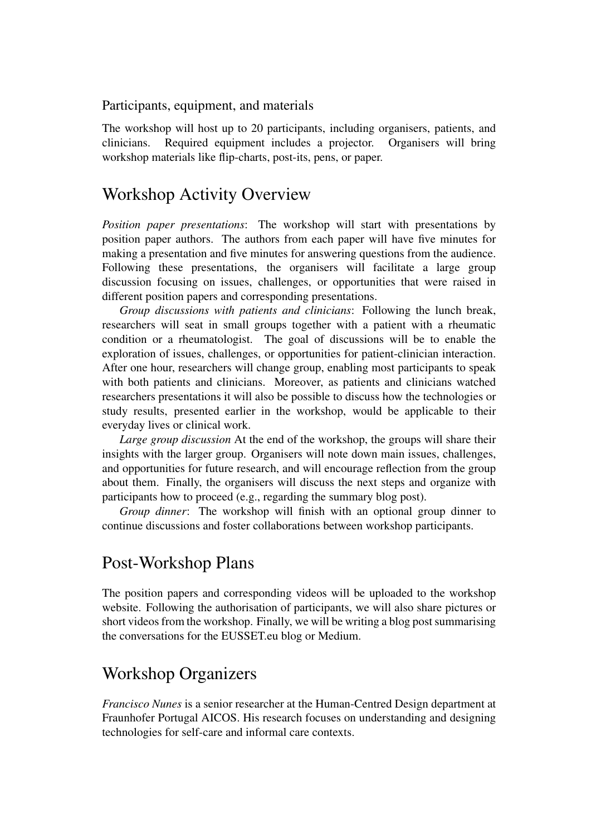Participants, equipment, and materials

The workshop will host up to 20 participants, including organisers, patients, and clinicians. Required equipment includes a projector. Organisers will bring workshop materials like flip-charts, post-its, pens, or paper.

### Workshop Activity Overview

*Position paper presentations*: The workshop will start with presentations by position paper authors. The authors from each paper will have five minutes for making a presentation and five minutes for answering questions from the audience. Following these presentations, the organisers will facilitate a large group discussion focusing on issues, challenges, or opportunities that were raised in different position papers and corresponding presentations.

*Group discussions with patients and clinicians*: Following the lunch break, researchers will seat in small groups together with a patient with a rheumatic condition or a rheumatologist. The goal of discussions will be to enable the exploration of issues, challenges, or opportunities for patient-clinician interaction. After one hour, researchers will change group, enabling most participants to speak with both patients and clinicians. Moreover, as patients and clinicians watched researchers presentations it will also be possible to discuss how the technologies or study results, presented earlier in the workshop, would be applicable to their everyday lives or clinical work.

*Large group discussion* At the end of the workshop, the groups will share their insights with the larger group. Organisers will note down main issues, challenges, and opportunities for future research, and will encourage reflection from the group about them. Finally, the organisers will discuss the next steps and organize with participants how to proceed (e.g., regarding the summary blog post).

*Group dinner*: The workshop will finish with an optional group dinner to continue discussions and foster collaborations between workshop participants.

### Post-Workshop Plans

The position papers and corresponding videos will be uploaded to the workshop website. Following the authorisation of participants, we will also share pictures or short videos from the workshop. Finally, we will be writing a blog post summarising the conversations for the EUSSET.eu blog or Medium.

# Workshop Organizers

*Francisco Nunes* is a senior researcher at the Human-Centred Design department at Fraunhofer Portugal AICOS. His research focuses on understanding and designing technologies for self-care and informal care contexts.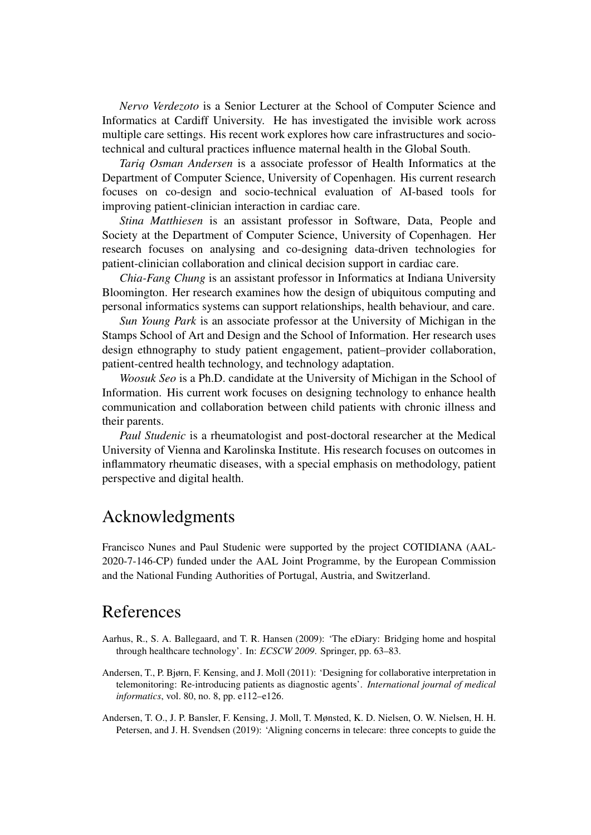*Nervo Verdezoto* is a Senior Lecturer at the School of Computer Science and Informatics at Cardiff University. He has investigated the invisible work across multiple care settings. His recent work explores how care infrastructures and sociotechnical and cultural practices influence maternal health in the Global South.

*Tariq Osman Andersen* is a associate professor of Health Informatics at the Department of Computer Science, University of Copenhagen. His current research focuses on co-design and socio-technical evaluation of AI-based tools for improving patient-clinician interaction in cardiac care.

*Stina Matthiesen* is an assistant professor in Software, Data, People and Society at the Department of Computer Science, University of Copenhagen. Her research focuses on analysing and co-designing data-driven technologies for patient-clinician collaboration and clinical decision support in cardiac care.

*Chia-Fang Chung* is an assistant professor in Informatics at Indiana University Bloomington. Her research examines how the design of ubiquitous computing and personal informatics systems can support relationships, health behaviour, and care.

*Sun Young Park* is an associate professor at the University of Michigan in the Stamps School of Art and Design and the School of Information. Her research uses design ethnography to study patient engagement, patient–provider collaboration, patient-centred health technology, and technology adaptation.

*Woosuk Seo* is a Ph.D. candidate at the University of Michigan in the School of Information. His current work focuses on designing technology to enhance health communication and collaboration between child patients with chronic illness and their parents.

*Paul Studenic* is a rheumatologist and post-doctoral researcher at the Medical University of Vienna and Karolinska Institute. His research focuses on outcomes in inflammatory rheumatic diseases, with a special emphasis on methodology, patient perspective and digital health.

# Acknowledgments

Francisco Nunes and Paul Studenic were supported by the project COTIDIANA (AAL-2020-7-146-CP) funded under the AAL Joint Programme, by the European Commission and the National Funding Authorities of Portugal, Austria, and Switzerland.

### References

- Aarhus, R., S. A. Ballegaard, and T. R. Hansen (2009): 'The eDiary: Bridging home and hospital through healthcare technology'. In: *ECSCW 2009*. Springer, pp. 63–83.
- Andersen, T., P. Bjørn, F. Kensing, and J. Moll (2011): 'Designing for collaborative interpretation in telemonitoring: Re-introducing patients as diagnostic agents'. *International journal of medical informatics*, vol. 80, no. 8, pp. e112–e126.
- Andersen, T. O., J. P. Bansler, F. Kensing, J. Moll, T. Mønsted, K. D. Nielsen, O. W. Nielsen, H. H. Petersen, and J. H. Svendsen (2019): 'Aligning concerns in telecare: three concepts to guide the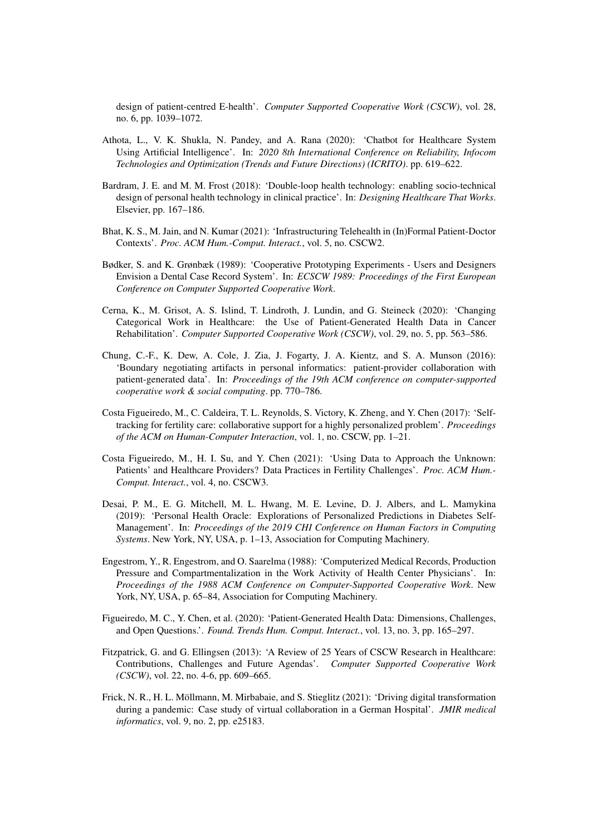design of patient-centred E-health'. *Computer Supported Cooperative Work (CSCW)*, vol. 28, no. 6, pp. 1039–1072.

- Athota, L., V. K. Shukla, N. Pandey, and A. Rana (2020): 'Chatbot for Healthcare System Using Artificial Intelligence'. In: *2020 8th International Conference on Reliability, Infocom Technologies and Optimization (Trends and Future Directions) (ICRITO)*. pp. 619–622.
- Bardram, J. E. and M. M. Frost (2018): 'Double-loop health technology: enabling socio-technical design of personal health technology in clinical practice'. In: *Designing Healthcare That Works*. Elsevier, pp. 167–186.
- Bhat, K. S., M. Jain, and N. Kumar (2021): 'Infrastructuring Telehealth in (In)Formal Patient-Doctor Contexts'. *Proc. ACM Hum.-Comput. Interact.*, vol. 5, no. CSCW2.
- Bødker, S. and K. Grønbæk (1989): 'Cooperative Prototyping Experiments Users and Designers Envision a Dental Case Record System'. In: *ECSCW 1989: Proceedings of the First European Conference on Computer Supported Cooperative Work*.
- Cerna, K., M. Grisot, A. S. Islind, T. Lindroth, J. Lundin, and G. Steineck (2020): 'Changing Categorical Work in Healthcare: the Use of Patient-Generated Health Data in Cancer Rehabilitation'. *Computer Supported Cooperative Work (CSCW)*, vol. 29, no. 5, pp. 563–586.
- Chung, C.-F., K. Dew, A. Cole, J. Zia, J. Fogarty, J. A. Kientz, and S. A. Munson (2016): 'Boundary negotiating artifacts in personal informatics: patient-provider collaboration with patient-generated data'. In: *Proceedings of the 19th ACM conference on computer-supported cooperative work & social computing*. pp. 770–786.
- Costa Figueiredo, M., C. Caldeira, T. L. Reynolds, S. Victory, K. Zheng, and Y. Chen (2017): 'Selftracking for fertility care: collaborative support for a highly personalized problem'. *Proceedings of the ACM on Human-Computer Interaction*, vol. 1, no. CSCW, pp. 1–21.
- Costa Figueiredo, M., H. I. Su, and Y. Chen (2021): 'Using Data to Approach the Unknown: Patients' and Healthcare Providers? Data Practices in Fertility Challenges'. *Proc. ACM Hum.- Comput. Interact.*, vol. 4, no. CSCW3.
- Desai, P. M., E. G. Mitchell, M. L. Hwang, M. E. Levine, D. J. Albers, and L. Mamykina (2019): 'Personal Health Oracle: Explorations of Personalized Predictions in Diabetes Self-Management'. In: *Proceedings of the 2019 CHI Conference on Human Factors in Computing Systems*. New York, NY, USA, p. 1–13, Association for Computing Machinery.
- Engestrom, Y., R. Engestrom, and O. Saarelma (1988): 'Computerized Medical Records, Production Pressure and Compartmentalization in the Work Activity of Health Center Physicians'. In: *Proceedings of the 1988 ACM Conference on Computer-Supported Cooperative Work*. New York, NY, USA, p. 65–84, Association for Computing Machinery.
- Figueiredo, M. C., Y. Chen, et al. (2020): 'Patient-Generated Health Data: Dimensions, Challenges, and Open Questions.'. *Found. Trends Hum. Comput. Interact.*, vol. 13, no. 3, pp. 165–297.
- Fitzpatrick, G. and G. Ellingsen (2013): 'A Review of 25 Years of CSCW Research in Healthcare: Contributions, Challenges and Future Agendas'. *Computer Supported Cooperative Work (CSCW)*, vol. 22, no. 4-6, pp. 609–665.
- Frick, N. R., H. L. Möllmann, M. Mirbabaie, and S. Stieglitz (2021): 'Driving digital transformation during a pandemic: Case study of virtual collaboration in a German Hospital'. *JMIR medical informatics*, vol. 9, no. 2, pp. e25183.